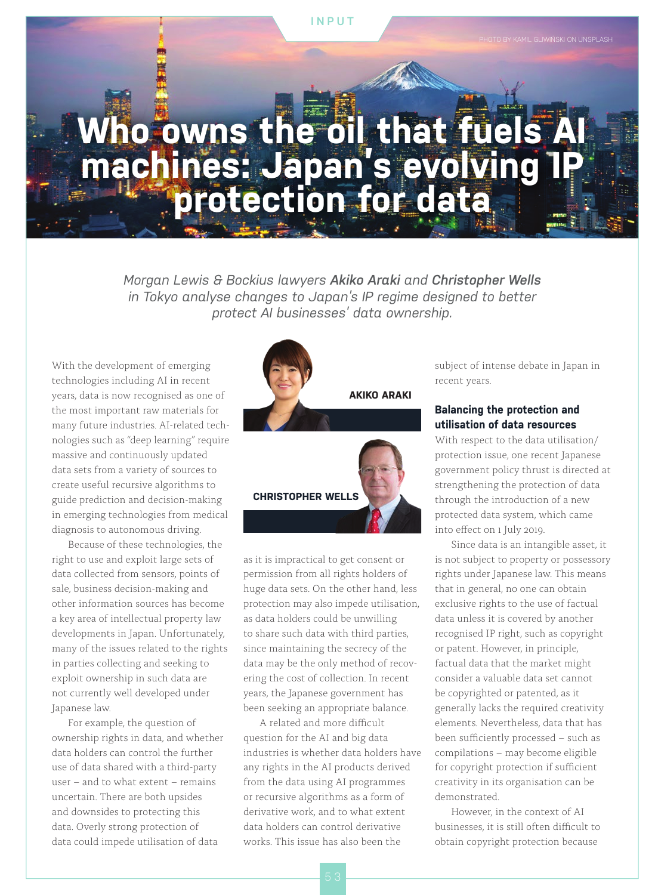#### **INPUT**

.<br>WIŃSKI ON UNSPLASH

# **Who owns the oil that fuels A machines: Japan's evolving IP protection for data**

*Morgan Lewis & Bockius lawyers Akiko Araki and Christopher Wells in Tokyo analyse changes to Japan's IP regime designed to better protect AI businesses' data ownership.*

With the development of emerging technologies including AI in recent years, data is now recognised as one of the most important raw materials for many future industries. AI-related technologies such as "deep learning" require massive and continuously updated data sets from a variety of sources to create useful recursive algorithms to guide prediction and decision-making in emerging technologies from medical diagnosis to autonomous driving.

Because of these technologies, the right to use and exploit large sets of data collected from sensors, points of sale, business decision-making and other information sources has become a key area of intellectual property law developments in Japan. Unfortunately, many of the issues related to the rights in parties collecting and seeking to exploit ownership in such data are not currently well developed under Japanese law.

For example, the question of ownership rights in data, and whether data holders can control the further use of data shared with a third-party user – and to what extent – remains uncertain. There are both upsides and downsides to protecting this data. Overly strong protection of data could impede utilisation of data



as it is impractical to get consent or permission from all rights holders of huge data sets. On the other hand, less protection may also impede utilisation, as data holders could be unwilling to share such data with third parties, since maintaining the secrecy of the data may be the only method of recovering the cost of collection. In recent years, the Japanese government has been seeking an appropriate balance.

A related and more difficult question for the AI and big data industries is whether data holders have any rights in the AI products derived from the data using AI programmes or recursive algorithms as a form of derivative work, and to what extent data holders can control derivative works. This issue has also been the

subject of intense debate in Japan in recent years.

### **Balancing the protection and utilisation of data resources**

With respect to the data utilisation/ protection issue, one recent Japanese government policy thrust is directed at strengthening the protection of data through the introduction of a new protected data system, which came into effect on 1 July 2019.

Since data is an intangible asset, it is not subject to property or possessory rights under Japanese law. This means that in general, no one can obtain exclusive rights to the use of factual data unless it is covered by another recognised IP right, such as copyright or patent. However, in principle, factual data that the market might consider a valuable data set cannot be copyrighted or patented, as it generally lacks the required creativity elements. Nevertheless, data that has been sufficiently processed – such as compilations – may become eligible for copyright protection if sufficient creativity in its organisation can be demonstrated.

However, in the context of AI businesses, it is still often difficult to obtain copyright protection because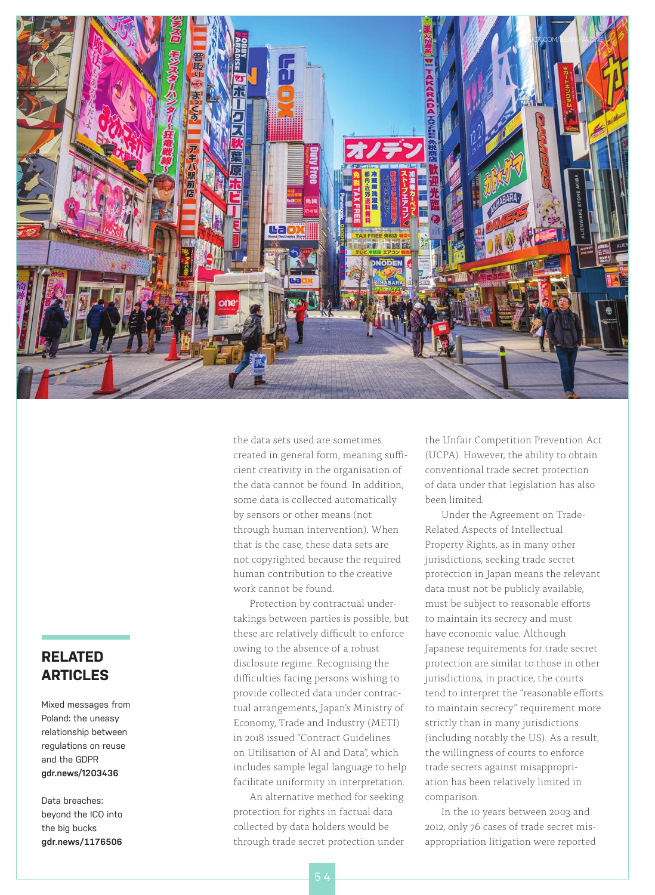

the data sets used are sometimes created in general form, meaning sufficient creativity in the organisation of the data cannot be found. In addition, some data is collected automatically by sensors or other means (not through human intervention). When that is the case, these data sets are not copyrighted because the required human contribution to the creative work cannot be found.

Protection by contractual undertakings between parties is possible, but these are relatively difficult to enforce owing to the absence of a robust disclosure regime. Recognising the difficulties facing persons wishing to provide collected data under contractual arrangements, Japan's Ministry of Economy, Trade and Industry (METI) in 2018 issued "Contract Guidelines on Utilisation of AI and Data", which includes sample legal language to help facilitate uniformity in interpretation.

An alternative method for seeking protection for rights in factual data collected by data holders would be through trade secret protection under

the Unfair Competition Prevention Act (UCPA). However, the ability to obtain conventional trade secret protection of data under that legislation has also been limited.

Under the Agreement on Trade-Related Aspects of Intellectual Property Rights, as in many other jurisdictions, seeking trade secret protection in Japan means the relevant data must not be publicly available, must be subject to reasonable efforts to maintain its secrecy and must have economic value. Although Japanese requirements for trade secret protection are similar to those in other jurisdictions, in practice, the courts tend to interpret the "reasonable efforts to maintain secrecy" requirement more strictly than in many jurisdictions (including notably the US). As a result, the willingness of courts to enforce trade secrets against misappropriation has been relatively limited in comparison.

In the 10 years between 2003 and 2012, only 76 cases of trade secret misappropriation litigation were reported

### **RELATED ARTICLES**

Mixed messages from Poland: the uneasy relationship between regulations on reuse and the GDPR **gdr.news/1203436**

Data breaches: beyond the ICO into the big bucks **gdr.news/1176506**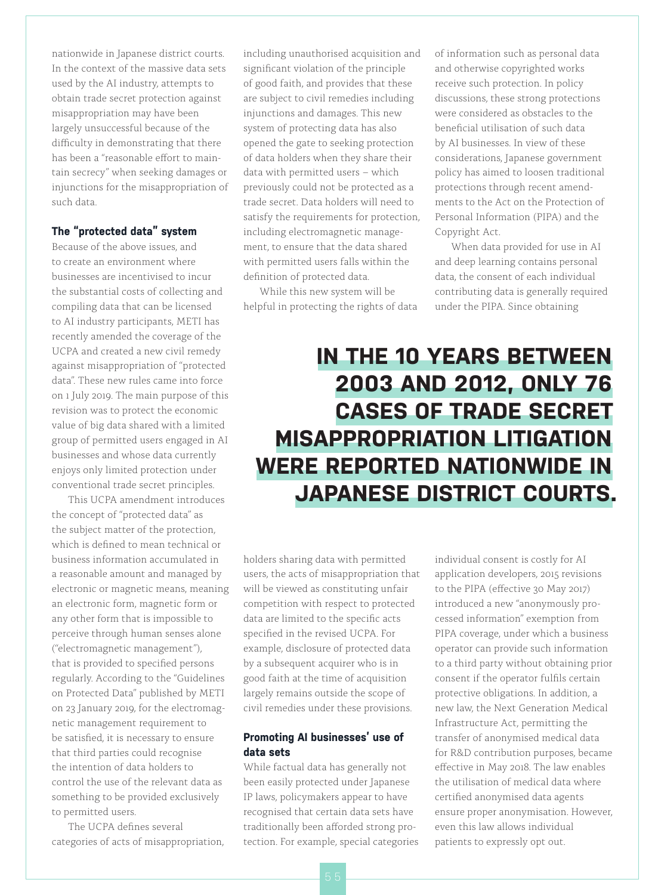nationwide in Japanese district courts. In the context of the massive data sets used by the AI industry, attempts to obtain trade secret protection against misappropriation may have been largely unsuccessful because of the difficulty in demonstrating that there has been a "reasonable effort to maintain secrecy" when seeking damages or injunctions for the misappropriation of such data.

### **The "protected data" system**

Because of the above issues, and to create an environment where businesses are incentivised to incur the substantial costs of collecting and compiling data that can be licensed to AI industry participants, METI has recently amended the coverage of the UCPA and created a new civil remedy against misappropriation of "protected data". These new rules came into force on 1 July 2019. The main purpose of this revision was to protect the economic value of big data shared with a limited group of permitted users engaged in AI businesses and whose data currently enjoys only limited protection under conventional trade secret principles.

This UCPA amendment introduces the concept of "protected data" as the subject matter of the protection, which is defined to mean technical or business information accumulated in a reasonable amount and managed by electronic or magnetic means, meaning an electronic form, magnetic form or any other form that is impossible to perceive through human senses alone ("electromagnetic management"), that is provided to specified persons regularly. According to the "Guidelines on Protected Data" published by METI on 23 January 2019, for the electromagnetic management requirement to be satisfied, it is necessary to ensure that third parties could recognise the intention of data holders to control the use of the relevant data as something to be provided exclusively to permitted users.

The UCPA defines several categories of acts of misappropriation, including unauthorised acquisition and significant violation of the principle of good faith, and provides that these are subject to civil remedies including injunctions and damages. This new system of protecting data has also opened the gate to seeking protection of data holders when they share their data with permitted users – which previously could not be protected as a trade secret. Data holders will need to satisfy the requirements for protection, including electromagnetic management, to ensure that the data shared with permitted users falls within the definition of protected data.

While this new system will be helpful in protecting the rights of data of information such as personal data and otherwise copyrighted works receive such protection. In policy discussions, these strong protections were considered as obstacles to the beneficial utilisation of such data by AI businesses. In view of these considerations, Japanese government policy has aimed to loosen traditional protections through recent amendments to the Act on the Protection of Personal Information (PIPA) and the Copyright Act.

When data provided for use in AI and deep learning contains personal data, the consent of each individual contributing data is generally required under the PIPA. Since obtaining

## **IN THE 10 YEARS BETWEEN 2003 AND 2012, ONLY 76 CASES OF TRADE SECRET MISAPPROPRIATION LITIGATION WERE REPORTED NATIONWIDE IN JAPANESE DISTRICT COURTS.**

holders sharing data with permitted users, the acts of misappropriation that will be viewed as constituting unfair competition with respect to protected data are limited to the specific acts specified in the revised UCPA. For example, disclosure of protected data by a subsequent acquirer who is in good faith at the time of acquisition largely remains outside the scope of civil remedies under these provisions.

### **Promoting AI businesses' use of data sets**

While factual data has generally not been easily protected under Japanese IP laws, policymakers appear to have recognised that certain data sets have traditionally been afforded strong protection. For example, special categories individual consent is costly for AI application developers, 2015 revisions to the PIPA (effective 30 May 2017) introduced a new "anonymously processed information" exemption from PIPA coverage, under which a business operator can provide such information to a third party without obtaining prior consent if the operator fulfils certain protective obligations. In addition, a new law, the Next Generation Medical Infrastructure Act, permitting the transfer of anonymised medical data for R&D contribution purposes, became effective in May 2018. The law enables the utilisation of medical data where certified anonymised data agents ensure proper anonymisation. However, even this law allows individual patients to expressly opt out.